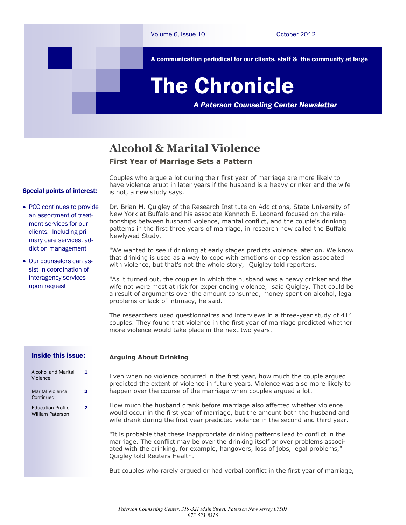

### **Alcohol & Marital Violence**

### **First Year of Marriage Sets a Pattern**

#### Special points of interest:

- PCC continues to provide an assortment of treatment services for our clients. Including primary care services, addiction management
- Our counselors can assist in coordination of interagency services upon request

Couples who argue a lot during their first year of marriage are more likely to have violence erupt in later years if the husband is a heavy drinker and the wife is not, a new study says.

Dr. Brian M. Quigley of the Research Institute on Addictions, State University of New York at Buffalo and his associate Kenneth E. Leonard focused on the relationships between husband violence, marital conflict, and the couple's drinking patterns in the first three years of marriage, in research now called the Buffalo Newlywed Study.

"We wanted to see if drinking at early stages predicts violence later on. We know that drinking is used as a way to cope with emotions or depression associated with violence, but that's not the whole story," Quigley told reporters.

"As it turned out, the couples in which the husband was a heavy drinker and the wife not were most at risk for experiencing violence," said Quigley. That could be a result of arguments over the amount consumed, money spent on alcohol, legal problems or lack of intimacy, he said.

The researchers used questionnaires and interviews in a three-year study of 414 couples. They found that violence in the first year of marriage predicted whether more violence would take place in the next two years.

#### Inside this issue:

| Alcohol and Marital<br>Violence              |   |
|----------------------------------------------|---|
| <b>Marital Violence</b><br>Continued         | 2 |
| <b>Education Profile</b><br>William Paterson | 2 |

#### **Arguing About Drinking**

Even when no violence occurred in the first year, how much the couple argued predicted the extent of violence in future years. Violence was also more likely to happen over the course of the marriage when couples argued a lot.

How much the husband drank before marriage also affected whether violence would occur in the first year of marriage, but the amount both the husband and wife drank during the first year predicted violence in the second and third year.

"It is probable that these inappropriate drinking patterns lead to conflict in the marriage. The conflict may be over the drinking itself or over problems associated with the drinking, for example, hangovers, loss of jobs, legal problems," Quigley told Reuters Health.

But couples who rarely argued or had verbal conflict in the first year of marriage,